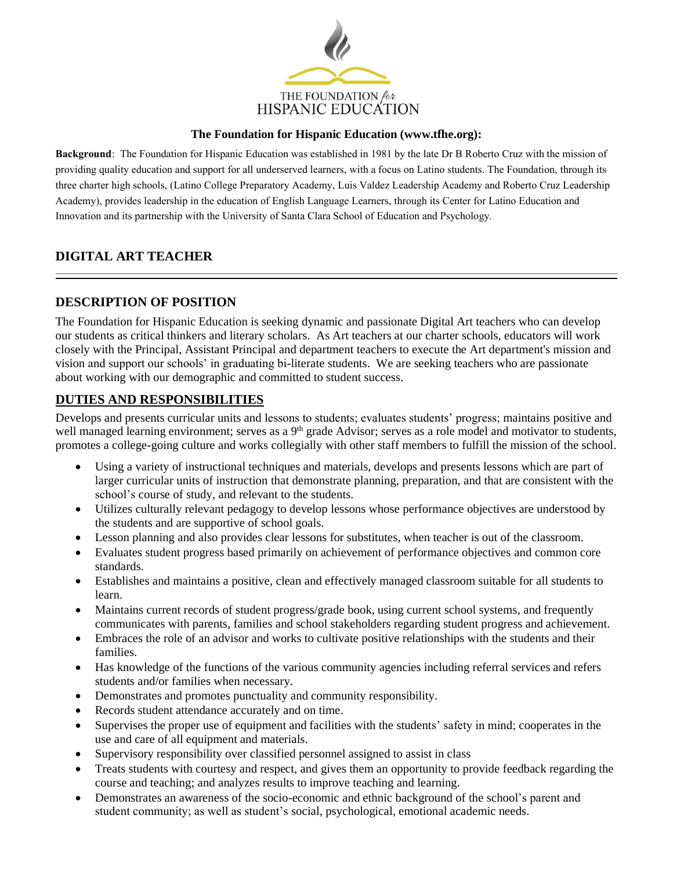

#### **The Foundation for Hispanic Education (www.tfhe.org):**

**Background**: The Foundation for Hispanic Education was established in 1981 by the late Dr B Roberto Cruz with the mission of providing quality education and support for all underserved learners, with a focus on Latino students. The Foundation, through its three charter high schools, (Latino College Preparatory Academy, Luis Valdez Leadership Academy and Roberto Cruz Leadership Academy), provides leadership in the education of English Language Learners, through its Center for Latino Education and Innovation and its partnership with the University of Santa Clara School of Education and Psychology.

# **DIGITAL ART TEACHER**

# **DESCRIPTION OF POSITION**

The Foundation for Hispanic Education is seeking dynamic and passionate Digital Art teachers who can develop our students as critical thinkers and literary scholars. As Art teachers at our charter schools, educators will work closely with the Principal, Assistant Principal and department teachers to execute the Art department's mission and vision and support our schools' in graduating bi-literate students. We are seeking teachers who are passionate about working with our demographic and committed to student success.

# **DUTIES AND RESPONSIBILITIES**

Develops and presents curricular units and lessons to students; evaluates students' progress; maintains positive and well managed learning environment; serves as a  $9<sup>th</sup>$  grade Advisor; serves as a role model and motivator to students, promotes a college-going culture and works collegially with other staff members to fulfill the mission of the school.

- Using a variety of instructional techniques and materials, develops and presents lessons which are part of larger curricular units of instruction that demonstrate planning, preparation, and that are consistent with the school's course of study, and relevant to the students.
- Utilizes culturally relevant pedagogy to develop lessons whose performance objectives are understood by the students and are supportive of school goals.
- Lesson planning and also provides clear lessons for substitutes, when teacher is out of the classroom.
- Evaluates student progress based primarily on achievement of performance objectives and common core standards.
- Establishes and maintains a positive, clean and effectively managed classroom suitable for all students to learn.
- Maintains current records of student progress/grade book, using current school systems, and frequently communicates with parents, families and school stakeholders regarding student progress and achievement.
- Embraces the role of an advisor and works to cultivate positive relationships with the students and their families.
- Has knowledge of the functions of the various community agencies including referral services and refers students and/or families when necessary.
- Demonstrates and promotes punctuality and community responsibility.
- Records student attendance accurately and on time.
- Supervises the proper use of equipment and facilities with the students' safety in mind; cooperates in the use and care of all equipment and materials.
- Supervisory responsibility over classified personnel assigned to assist in class
- Treats students with courtesy and respect, and gives them an opportunity to provide feedback regarding the course and teaching; and analyzes results to improve teaching and learning.
- Demonstrates an awareness of the socio-economic and ethnic background of the school's parent and student community; as well as student's social, psychological, emotional academic needs.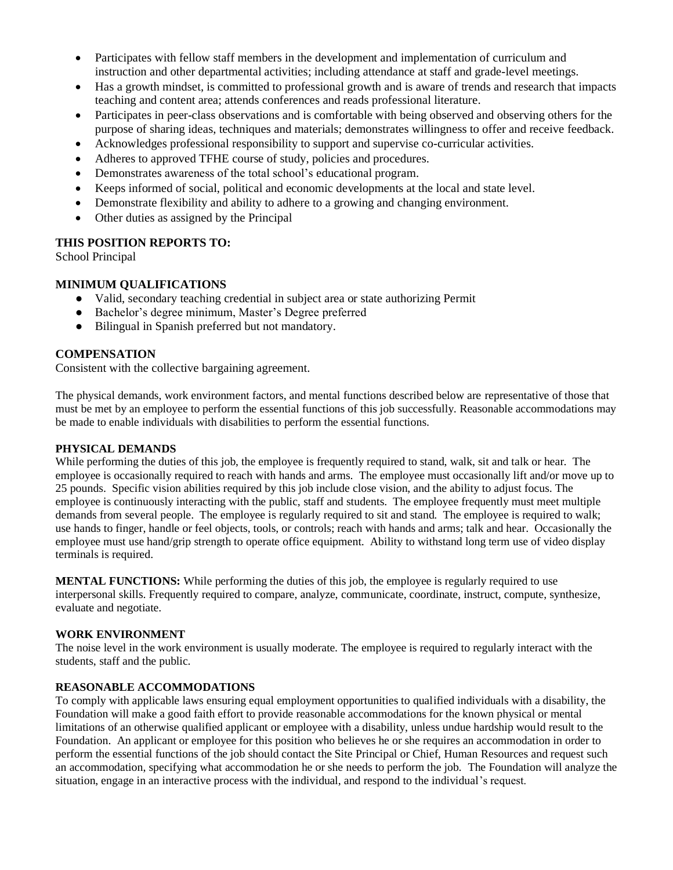- Participates with fellow staff members in the development and implementation of curriculum and instruction and other departmental activities; including attendance at staff and grade-level meetings.
- Has a growth mindset, is committed to professional growth and is aware of trends and research that impacts teaching and content area; attends conferences and reads professional literature.
- Participates in peer-class observations and is comfortable with being observed and observing others for the purpose of sharing ideas, techniques and materials; demonstrates willingness to offer and receive feedback.
- Acknowledges professional responsibility to support and supervise co-curricular activities.
- Adheres to approved TFHE course of study, policies and procedures.
- Demonstrates awareness of the total school's educational program.
- Keeps informed of social, political and economic developments at the local and state level.
- Demonstrate flexibility and ability to adhere to a growing and changing environment.
- Other duties as assigned by the Principal

## **THIS POSITION REPORTS TO:**

School Principal

# **MINIMUM QUALIFICATIONS**

- Valid, secondary teaching credential in subject area or state authorizing Permit
- Bachelor's degree minimum, Master's Degree preferred
- Bilingual in Spanish preferred but not mandatory.

## **COMPENSATION**

Consistent with the collective bargaining agreement.

The physical demands, work environment factors, and mental functions described below are representative of those that must be met by an employee to perform the essential functions of this job successfully. Reasonable accommodations may be made to enable individuals with disabilities to perform the essential functions.

#### **PHYSICAL DEMANDS**

While performing the duties of this job, the employee is frequently required to stand, walk, sit and talk or hear. The employee is occasionally required to reach with hands and arms. The employee must occasionally lift and/or move up to 25 pounds. Specific vision abilities required by this job include close vision, and the ability to adjust focus. The employee is continuously interacting with the public, staff and students. The employee frequently must meet multiple demands from several people. The employee is regularly required to sit and stand. The employee is required to walk; use hands to finger, handle or feel objects, tools, or controls; reach with hands and arms; talk and hear. Occasionally the employee must use hand/grip strength to operate office equipment. Ability to withstand long term use of video display terminals is required.

**MENTAL FUNCTIONS:** While performing the duties of this job, the employee is regularly required to use interpersonal skills. Frequently required to compare, analyze, communicate, coordinate, instruct, compute, synthesize, evaluate and negotiate.

## **WORK ENVIRONMENT**

The noise level in the work environment is usually moderate. The employee is required to regularly interact with the students, staff and the public.

## **REASONABLE ACCOMMODATIONS**

To comply with applicable laws ensuring equal employment opportunities to qualified individuals with a disability, the Foundation will make a good faith effort to provide reasonable accommodations for the known physical or mental limitations of an otherwise qualified applicant or employee with a disability, unless undue hardship would result to the Foundation. An applicant or employee for this position who believes he or she requires an accommodation in order to perform the essential functions of the job should contact the Site Principal or Chief, Human Resources and request such an accommodation, specifying what accommodation he or she needs to perform the job. The Foundation will analyze the situation, engage in an interactive process with the individual, and respond to the individual's request.